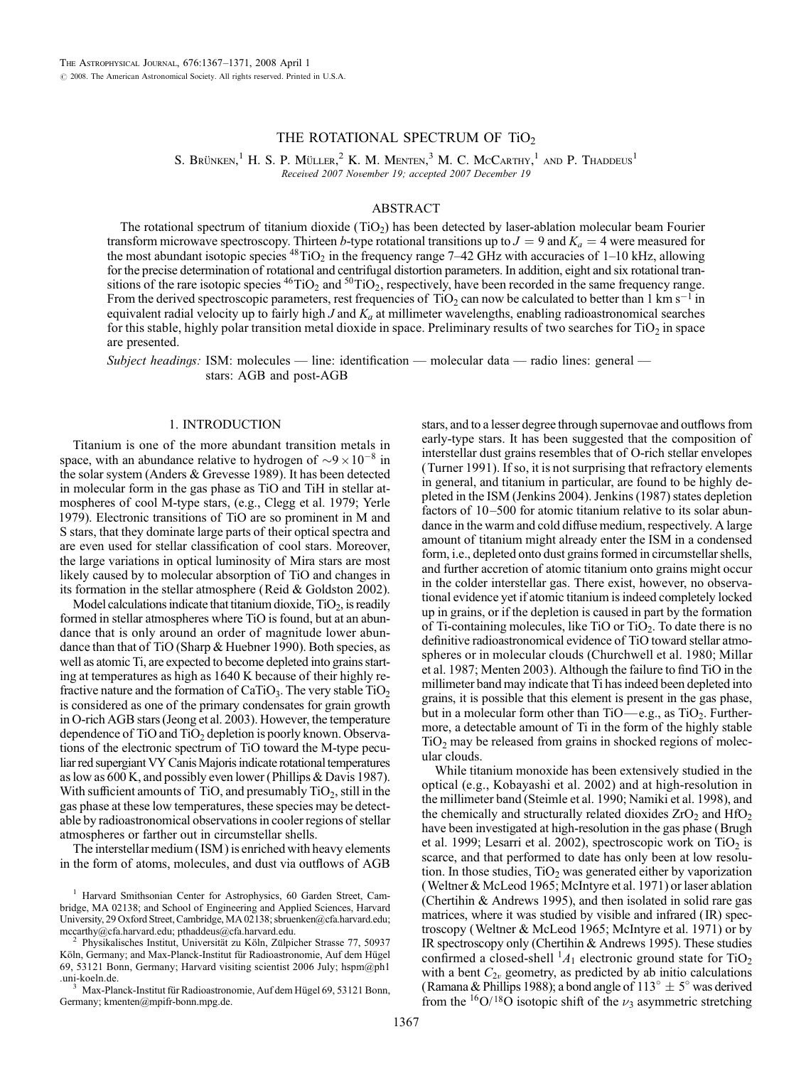# THE ROTATIONAL SPECTRUM OF  $TiO<sub>2</sub>$

S. Brünken, $^1$  H. S. P. Müller, $^2$  K. M. Menten, $^3$  M. C. McCarthy, $^1$  and P. Thaddeus $^1$ Received 2007 November 19; accepted 2007 December 19

#### ABSTRACT

The rotational spectrum of titanium dioxide  $(TiO<sub>2</sub>)$  has been detected by laser-ablation molecular beam Fourier transform microwave spectroscopy. Thirteen b-type rotational transitions up to  $J = 9$  and  $K_a = 4$  were measured for the most abundant isotopic species  $^{48}TiO_2$  in the frequency range 7–42 GHz with accuracies of 1–10 kHz, allowing for the precise determination of rotational and centrifugal distortion parameters. In addition, eight and six rotational transitions of the rare isotopic species  $^{46}TiO_2$  and  $^{50}TiO_2$ , respectively, have been recorded in the same frequency range. From the derived spectroscopic parameters, rest frequencies of TiO<sub>2</sub> can now be calculated to better than 1 km s<sup>-1</sup> in equivalent radial velocity up to fairly high  $J$  and  $K_a$  at millimeter wavelengths, enabling radioastronomical searches for this stable, highly polar transition metal dioxide in space. Preliminary results of two searches for TiO<sub>2</sub> in space are presented.

Subject headings: ISM: molecules — line: identification — molecular data — radio lines: general stars: AGB and post-AGB

# 1. INTRODUCTION

Titanium is one of the more abundant transition metals in space, with an abundance relative to hydrogen of  $\sim 9 \times 10^{-8}$  in the solar system (Anders & Grevesse 1989). It has been detected in molecular form in the gas phase as TiO and TiH in stellar atmospheres of cool M-type stars, (e.g., Clegg et al. 1979; Yerle 1979). Electronic transitions of TiO are so prominent in M and S stars, that they dominate large parts of their optical spectra and are even used for stellar classification of cool stars. Moreover, the large variations in optical luminosity of Mira stars are most likely caused by to molecular absorption of TiO and changes in its formation in the stellar atmosphere (Reid & Goldston 2002).

Model calculations indicate that titanium dioxide,  $TiO<sub>2</sub>$ , is readily formed in stellar atmospheres where TiO is found, but at an abundance that is only around an order of magnitude lower abundance than that of TiO (Sharp & Huebner 1990). Both species, as well as atomic Ti, are expected to become depleted into grains starting at temperatures as high as 1640 K because of their highly refractive nature and the formation of  $CaTiO<sub>3</sub>$ . The very stable  $TiO<sub>2</sub>$ is considered as one of the primary condensates for grain growth in O-rich AGB stars (Jeong et al. 2003). However, the temperature dependence of  $TiO$  and  $TiO<sub>2</sub>$  depletion is poorly known. Observations of the electronic spectrum of TiO toward the M-type peculiar red supergiant VY Canis Majoris indicate rotational temperatures as low as 600 K, and possibly even lower (Phillips & Davis 1987). With sufficient amounts of TiO, and presumably  $TiO<sub>2</sub>$ , still in the gas phase at these low temperatures, these species may be detectable by radioastronomical observations in cooler regions of stellar atmospheres or farther out in circumstellar shells.

The interstellar medium ( ISM ) is enriched with heavy elements in the form of atoms, molecules, and dust via outflows of AGB

Max-Planck-Institut für Radioastronomie, Auf dem Hügel 69, 53121 Bonn, Germany; kmenten@mpifr-bonn.mpg.de.

stars, and to a lesser degree through supernovae and outflows from early-type stars. It has been suggested that the composition of interstellar dust grains resembles that of O-rich stellar envelopes (Turner 1991). If so, it is not surprising that refractory elements in general, and titanium in particular, are found to be highly depleted in the ISM (Jenkins 2004). Jenkins (1987) states depletion factors of  $10-500$  for atomic titanium relative to its solar abundance in the warm and cold diffuse medium, respectively. A large amount of titanium might already enter the ISM in a condensed form, i.e., depleted onto dust grains formed in circumstellar shells, and further accretion of atomic titanium onto grains might occur in the colder interstellar gas. There exist, however, no observational evidence yet if atomic titanium is indeed completely locked up in grains, or if the depletion is caused in part by the formation of Ti-containing molecules, like TiO or TiO<sub>2</sub>. To date there is no definitive radioastronomical evidence of TiO toward stellar atmospheres or in molecular clouds (Churchwell et al. 1980; Millar et al. 1987; Menten 2003). Although the failure to find TiO in the millimeter band may indicate that Ti has indeed been depleted into grains, it is possible that this element is present in the gas phase, but in a molecular form other than  $TiO$ —e.g., as  $TiO<sub>2</sub>$ . Furthermore, a detectable amount of Ti in the form of the highly stable  $TiO<sub>2</sub>$  may be released from grains in shocked regions of molecular clouds.

While titanium monoxide has been extensively studied in the optical (e.g., Kobayashi et al. 2002) and at high-resolution in the millimeter band (Steimle et al. 1990; Namiki et al. 1998), and the chemically and structurally related dioxides  $ZrO<sub>2</sub>$  and  $HfO<sub>2</sub>$ have been investigated at high-resolution in the gas phase (Brugh et al. 1999; Lesarri et al. 2002), spectroscopic work on  $TiO<sub>2</sub>$  is scarce, and that performed to date has only been at low resolution. In those studies,  $TiO<sub>2</sub>$  was generated either by vaporization (Weltner & McLeod 1965; McIntyre et al. 1971) or laser ablation (Chertihin & Andrews 1995), and then isolated in solid rare gas matrices, where it was studied by visible and infrared (IR) spectroscopy (Weltner & McLeod 1965; McIntyre et al. 1971) or by IR spectroscopy only (Chertihin & Andrews 1995). These studies confirmed a closed-shell  ${}^{1}A_1$  electronic ground state for TiO<sub>2</sub> with a bent  $C_{2v}$  geometry, as predicted by ab initio calculations (Ramana & Phillips 1988); a bond angle of  $113^{\circ} \pm 5^{\circ}$  was derived from the <sup>16</sup>O/<sup>18</sup>O isotopic shift of the  $\nu_3$  asymmetric stretching

<sup>&</sup>lt;sup>1</sup> Harvard Smithsonian Center for Astrophysics, 60 Garden Street, Cambridge, MA 02138; and School of Engineering and Applied Sciences, Harvard University, 29 Oxford Street, Cambridge, MA 02138; sbruenken@cfa.harvard.edu; mccarthy@cfa.harvard.edu; pthaddeus@cfa.harvard.edu.

Physikalisches Institut, Universität zu Köln, Zülpicher Strasse 77, 50937 Köln, Germany; and Max-Planck-Institut für Radioastronomie, Auf dem Hügel 69, 53121 Bonn, Germany; Harvard visiting scientist 2006 July; hspm@ph1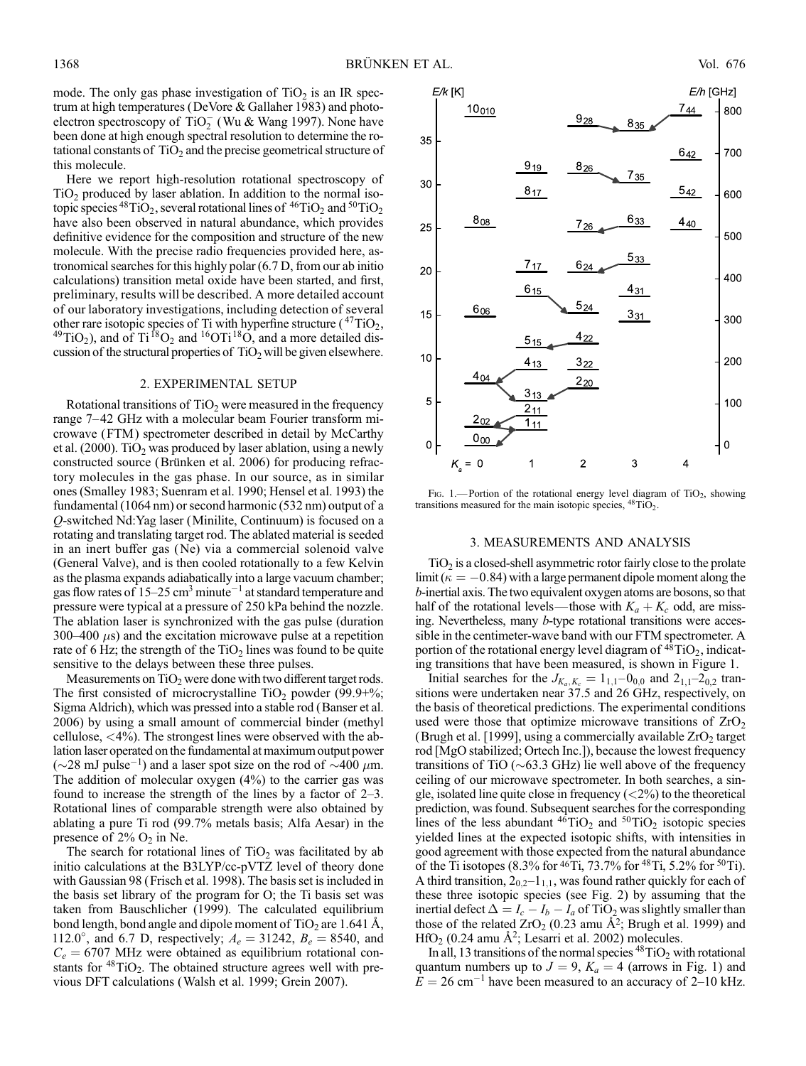mode. The only gas phase investigation of  $TiO<sub>2</sub>$  is an IR spectrum at high temperatures (DeVore & Gallaher 1983) and photoelectron spectroscopy of TiO<sub>2</sub> (Wu & Wang 1997). None have been done at high enough spectral resolution to determine the rotational constants of  $TiO<sub>2</sub>$  and the precise geometrical structure of this molecule.

Here we report high-resolution rotational spectroscopy of  $TiO<sub>2</sub>$  produced by laser ablation. In addition to the normal isotopic species  ${}^{48}TiO_2$ , several rotational lines of  ${}^{46}TiO_2$  and  ${}^{50}TiO_2$ have also been observed in natural abundance, which provides definitive evidence for the composition and structure of the new molecule. With the precise radio frequencies provided here, astronomical searches for this highly polar (6.7 D, from our ab initio calculations) transition metal oxide have been started, and first, preliminary, results will be described. A more detailed account of our laboratory investigations, including detection of several other rare isotopic species of Ti with hyperfine structure ( $^{47}TiO_2$ ,  $^{49}TiO_2$ ), and of Ti  $^{18}O_2$  and  $^{16}OTi$   $^{18}O$ , and a more detailed discussion of the structural properties of  $TiO<sub>2</sub>$  will be given elsewhere.

### 2. EXPERIMENTAL SETUP

Rotational transitions of  $TiO<sub>2</sub>$  were measured in the frequency range 7-42 GHz with a molecular beam Fourier transform microwave (FTM ) spectrometer described in detail by McCarthy et al. (2000). TiO<sub>2</sub> was produced by laser ablation, using a newly constructed source (Brünken et al. 2006) for producing refractory molecules in the gas phase. In our source, as in similar ones (Smalley 1983; Suenram et al. 1990; Hensel et al. 1993) the fundamental (1064 nm) or second harmonic (532 nm) output of a Q-switched Nd:Yag laser (Minilite, Continuum) is focused on a rotating and translating target rod. The ablated material is seeded in an inert buffer gas (Ne) via a commercial solenoid valve (General Valve), and is then cooled rotationally to a few Kelvin as the plasma expands adiabatically into a large vacuum chamber; gas flow rates of  $15-25$  cm<sup>3</sup> minute<sup>-1</sup> at standard temperature and pressure were typical at a pressure of 250 kPa behind the nozzle. The ablation laser is synchronized with the gas pulse (duration 300–400  $\mu$ s) and the excitation microwave pulse at a repetition rate of 6 Hz; the strength of the  $TiO<sub>2</sub>$  lines was found to be quite sensitive to the delays between these three pulses.

Measurements on  $TiO<sub>2</sub>$  were done with two different target rods. The first consisted of microcrystalline TiO<sub>2</sub> powder (99.9+%; Sigma Aldrich), which was pressed into a stable rod (Banser et al. 2006) by using a small amount of commercial binder (methyl cellulose, <4%). The strongest lines were observed with the ablation laser operated on the fundamental at maximum output power ( $\sim$ 28 mJ pulse<sup>-1</sup>) and a laser spot size on the rod of  $\sim$ 400  $\mu$ m. The addition of molecular oxygen (4%) to the carrier gas was found to increase the strength of the lines by a factor of  $2-3$ . Rotational lines of comparable strength were also obtained by ablating a pure Ti rod (99.7% metals basis; Alfa Aesar) in the presence of  $2\%$  O<sub>2</sub> in Ne.

The search for rotational lines of  $TiO<sub>2</sub>$  was facilitated by ab initio calculations at the B3LYP/cc-pVTZ level of theory done with Gaussian 98 (Frisch et al. 1998). The basis set is included in the basis set library of the program for O; the Ti basis set was taken from Bauschlicher (1999). The calculated equilibrium bond length, bond angle and dipole moment of  $TiO<sub>2</sub>$  are 1.641 Å, 112.0°, and 6.7 D, respectively;  $A_e = 31242$ ,  $B_e = 8540$ , and  $C_e = 6707$  MHz were obtained as equilibrium rotational constants for  $48TiO<sub>2</sub>$ . The obtained structure agrees well with previous DFT calculations (Walsh et al. 1999; Grein 2007).



Fig. 1.—Portion of the rotational energy level diagram of  $TiO<sub>2</sub>$ , showing transitions measured for the main isotopic species,  ${}^{48}$ TiO<sub>2</sub>.

#### 3. MEASUREMENTS AND ANALYSIS

 $TiO<sub>2</sub>$  is a closed-shell asymmetric rotor fairly close to the prolate limit ( $\kappa = -0.84$ ) with a large permanent dipole moment along the b-inertial axis. The two equivalent oxygen atoms are bosons, so that half of the rotational levels—those with  $K_a + K_c$  odd, are missing. Nevertheless, many b-type rotational transitions were accessible in the centimeter-wave band with our FTM spectrometer. A portion of the rotational energy level diagram of  $^{48}TiO<sub>2</sub>$ , indicating transitions that have been measured, is shown in Figure 1.

Initial searches for the  $J_{K_a,K_c} = 1_{1,1}-0_{0,0}$  and  $2_{1,1}-2_{0,2}$  transitions were undertaken near 37.5 and 26 GHz, respectively, on the basis of theoretical predictions. The experimental conditions used were those that optimize microwave transitions of  $ZrO<sub>2</sub>$ (Brugh et al. [1999], using a commercially available  $ZrO<sub>2</sub>$  target rod [MgO stabilized; Ortech Inc.]), because the lowest frequency transitions of TiO ( $\sim$ 63.3 GHz) lie well above of the frequency ceiling of our microwave spectrometer. In both searches, a single, isolated line quite close in frequency  $\left\langle \langle 2\% \rangle \right\rangle$  to the theoretical prediction, was found. Subsequent searches for the corresponding lines of the less abundant  $^{46}TiO<sub>2</sub>$  and  $^{50}TiO<sub>2</sub>$  isotopic species yielded lines at the expected isotopic shifts, with intensities in good agreement with those expected from the natural abundance of the Ti isotopes (8.3% for  $46$ Ti, 73.7% for  $48$ Ti, 5.2% for  $50$ Ti). A third transition,  $2_{0,2}-1_{1,1}$ , was found rather quickly for each of these three isotopic species (see Fig. 2) by assuming that the inertial defect  $\Delta = I_c - I_b - I_a$  of TiO<sub>2</sub> was slightly smaller than those of the related  $ZrO_2$  (0.23 amu Å<sup>2</sup>; Brugh et al. 1999) and  $HfO<sub>2</sub>$  (0.24 amu Å<sup>2</sup>; Lesarri et al. 2002) molecules.

In all, 13 transitions of the normal species  ${}^{48}TiO_2$  with rotational quantum numbers up to  $J = 9$ ,  $K_a = 4$  (arrows in Fig. 1) and  $E = 26$  cm<sup>-1</sup> have been measured to an accuracy of 2-10 kHz.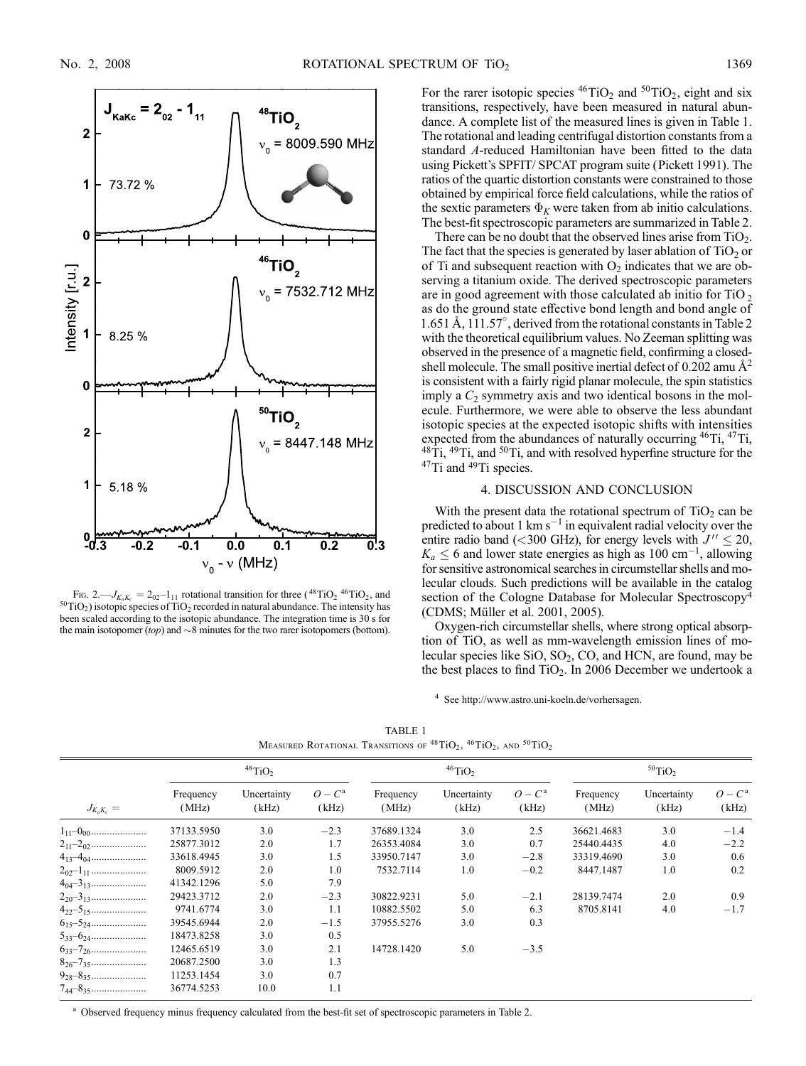

Fig. 2.— $J_{K_aK_c} = 2_{02}-1_{11}$  rotational transition for three (<sup>48</sup>TiO<sub>2</sub> <sup>46</sup>TiO<sub>2</sub>, and <sup>50</sup>TiO<sub>2</sub>) isotopic species of TiO<sub>2</sub> recorded in natural abundance. The intensity has been scaled according to the isotopic abundance. The integration time is 30 s for the main isotopomer (top) and  $\sim$ 8 minutes for the two rarer isotopomers (bottom).

For the rarer isotopic species  ${}^{46}TiO_2$  and  ${}^{50}TiO_2$ , eight and six transitions, respectively, have been measured in natural abundance. A complete list of the measured lines is given in Table 1. The rotational and leading centrifugal distortion constants from a standard A-reduced Hamiltonian have been fitted to the data using Pickett's SPFIT/ SPCAT program suite (Pickett 1991). The ratios of the quartic distortion constants were constrained to those obtained by empirical force field calculations, while the ratios of the sextic parameters  $\Phi_K$  were taken from ab initio calculations. The best-fit spectroscopic parameters are summarized in Table 2.

There can be no doubt that the observed lines arise from  $TiO<sub>2</sub>$ . The fact that the species is generated by laser ablation of  $TiO<sub>2</sub>$  or of Ti and subsequent reaction with  $O_2$  indicates that we are observing a titanium oxide. The derived spectroscopic parameters are in good agreement with those calculated ab initio for  $TiO<sub>2</sub>$ as do the ground state effective bond length and bond angle of 1.651 Å, 111.57°, derived from the rotational constants in Table 2 with the theoretical equilibrium values. No Zeeman splitting was observed in the presence of a magnetic field, confirming a closedshell molecule. The small positive inertial defect of 0.202 amu  $\mathring{A}^2$ is consistent with a fairly rigid planar molecule, the spin statistics imply a  $C_2$  symmetry axis and two identical bosons in the molecule. Furthermore, we were able to observe the less abundant isotopic species at the expected isotopic shifts with intensities expected from the abundances of naturally occurring <sup>46</sup>Ti, <sup>47</sup>Ti,  $48\text{Ti}$ ,  $49\text{Ti}$ , and  $50\text{Ti}$ , and with resolved hyperfine structure for the <sup>47</sup>Ti and <sup>49</sup>Ti species.

#### 4. DISCUSSION AND CONCLUSION

With the present data the rotational spectrum of  $TiO<sub>2</sub>$  can be predicted to about 1 km  $s^{-1}$  in equivalent radial velocity over the entire radio band (<300 GHz), for energy levels with  $J'' \le 20$ ,  $K_a \leq 6$  and lower state energies as high as 100 cm<sup>-1</sup>, allowing for sensitive astronomical searches in circumstellar shells and molecular clouds. Such predictions will be available in the catalog section of the Cologne Database for Molecular Spectroscopy<sup>4</sup> (CDMS; Müller et al. 2001, 2005).

Oxygen-rich circumstellar shells, where strong optical absorption of TiO, as well as mm-wavelength emission lines of molecular species like  $SiO$ ,  $SO_2$ ,  $CO$ , and HCN, are found, may be the best places to find  $TiO<sub>2</sub>$ . In 2006 December we undertook a

<sup>4</sup> See http://www.astro.uni-koeln.de/vorhersagen.

| TABLE 1 |                                                                                                                                         |  |  |  |  |
|---------|-----------------------------------------------------------------------------------------------------------------------------------------|--|--|--|--|
|         | MEASURED ROTATIONAL TRANSITIONS OF <sup>48</sup> TIO <sub>2</sub> , <sup>46</sup> TIO <sub>2</sub> , AND <sup>50</sup> TIO <sub>2</sub> |  |  |  |  |

|                   | $48$ TiO <sub>2</sub> |                      |                    | $46$ TiO <sub>2</sub> |                      | $50$ TiO <sub>2</sub> |                    |                      |                   |
|-------------------|-----------------------|----------------------|--------------------|-----------------------|----------------------|-----------------------|--------------------|----------------------|-------------------|
| $J_{K_aK_c} =$    | Frequency<br>(MHz)    | Uncertainty<br>(kHz) | $O - C^a$<br>(kHz) | Frequency<br>(MHz)    | Uncertainty<br>(kHz) | $O - Ca$<br>(kHz)     | Frequency<br>(MHz) | Uncertainty<br>(kHz) | $O - Ca$<br>(kHz) |
|                   | 37133.5950            | 3.0                  | $-2.3$             | 37689.1324            | 3.0                  | 2.5                   | 36621.4683         | 3.0                  | $-1.4$            |
|                   | 25877.3012            | 2.0                  | 1.7                | 26353.4084            | 3.0                  | 0.7                   | 25440.4435         | 4.0                  | $-2.2$            |
|                   | 33618.4945            | 3.0                  | 1.5                | 33950.7147            | 3.0                  | $-2.8$                | 33319.4690         | 3.0                  | 0.6               |
|                   | 8009.5912             | 2.0                  | 1.0                | 7532.7114             | 1.0                  | $-0.2$                | 8447.1487          | 1.0                  | 0.2               |
|                   | 41342.1296            | 5.0                  | 7.9                |                       |                      |                       |                    |                      |                   |
|                   | 29423.3712            | 2.0                  | $-2.3$             | 30822.9231            | 5.0                  | $-2.1$                | 28139.7474         | 2.0                  | 0.9               |
|                   | 9741.6774             | 3.0                  | 1.1                | 10882.5502            | 5.0                  | 6.3                   | 8705.8141          | 4.0                  | $-1.7$            |
|                   | 39545.6944            | 2.0                  | $-1.5$             | 37955.5276            | 3.0                  | 0.3                   |                    |                      |                   |
|                   | 18473.8258            | 3.0                  | 0.5                |                       |                      |                       |                    |                      |                   |
|                   | 12465.6519            | 3.0                  | 2.1                | 14728.1420            | 5.0                  | $-3.5$                |                    |                      |                   |
|                   | 20687.2500            | 3.0                  | 1.3                |                       |                      |                       |                    |                      |                   |
|                   | 11253.1454            | 3.0                  | 0.7                |                       |                      |                       |                    |                      |                   |
| $7_{44} - 8_{35}$ | 36774.5253            | 10.0                 | 1.1                |                       |                      |                       |                    |                      |                   |

<sup>a</sup> Observed frequency minus frequency calculated from the best-fit set of spectroscopic parameters in Table 2.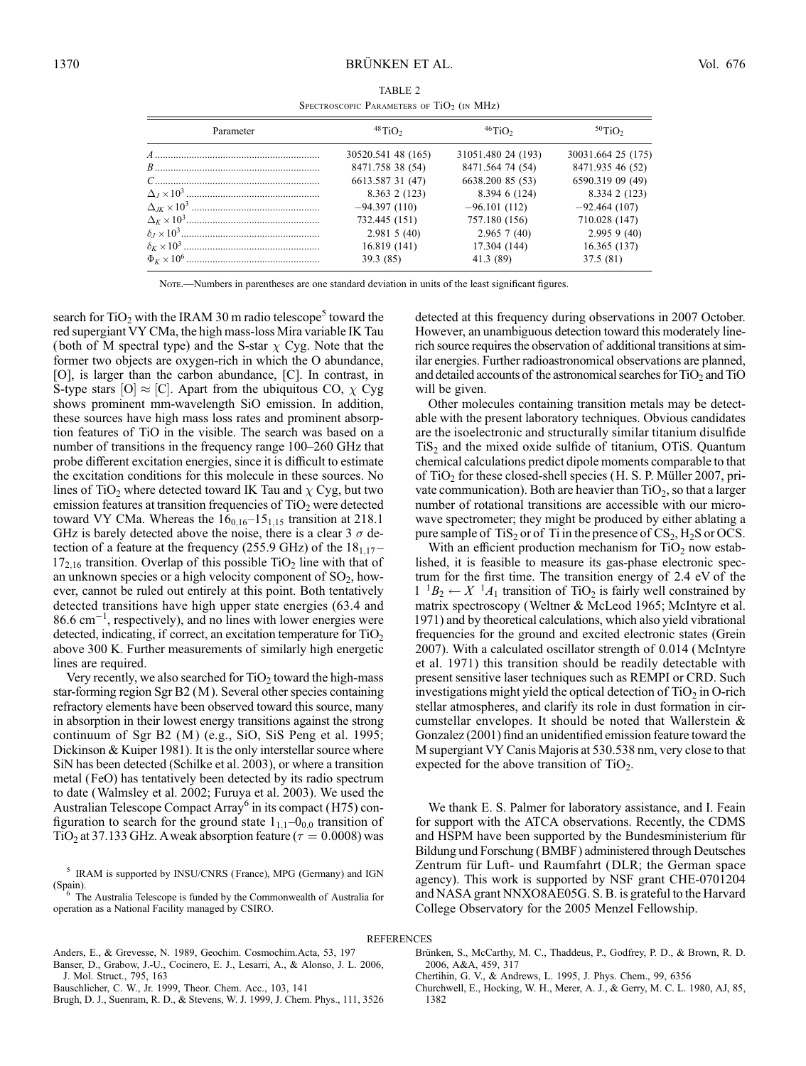| TABLE 2                                     |  |  |  |  |
|---------------------------------------------|--|--|--|--|
| SPECTROSCOPIC PARAMETERS OF $TiO2$ (in MHz) |  |  |  |  |

| Parameter | $48$ TiO <sub>2</sub> | $46$ TiO <sub>2</sub> | $50$ TiO <sub>2</sub> |
|-----------|-----------------------|-----------------------|-----------------------|
|           | 30520.541 48 (165)    | 31051.480 24 (193)    | 30031.664 25 (175)    |
|           | 8471.758 38 (54)      | 8471.564 74 (54)      | 8471.935 46 (52)      |
|           | 6613.587 31 (47)      | 6638.200 85 (53)      | 6590.319 09 (49)      |
|           | 8.363 2 (123)         | 8.394 6 (124)         | 8.334 2 (123)         |
|           | $-94.397(110)$        | $-96.101(112)$        | $-92.464(107)$        |
|           | 732.445 (151)         | 757.180 (156)         | 710.028 (147)         |
|           | 2.9815(40)            | 2.9657(40)            | $2.995$ 9 (40)        |
|           | 16.819 (141)          | 17.304 (144)          | 16.365(137)           |
|           | 39.3(85)              | 41.3 (89)             | 37.5(81)              |

Note.—Numbers in parentheses are one standard deviation in units of the least significant figures.

search for  $TiO<sub>2</sub>$  with the IRAM 30 m radio telescope<sup>5</sup> toward the red supergiant VY CMa, the high mass-loss Mira variable IK Tau (both of M spectral type) and the S-star  $\chi$  Cyg. Note that the former two objects are oxygen-rich in which the O abundance, [O], is larger than the carbon abundance, [C]. In contrast, in S-type stars [O]  $\approx$  [C]. Apart from the ubiquitous CO,  $\chi$  Cyg shows prominent mm-wavelength SiO emission. In addition, these sources have high mass loss rates and prominent absorption features of TiO in the visible. The search was based on a number of transitions in the frequency range 100–260 GHz that probe different excitation energies, since it is difficult to estimate the excitation conditions for this molecule in these sources. No lines of TiO<sub>2</sub> where detected toward IK Tau and  $\chi$  Cyg, but two emission features at transition frequencies of  $TiO<sub>2</sub>$  were detected toward VY CMa. Whereas the  $16<sub>0,16</sub>-15<sub>1,15</sub>$  transition at 218.1 GHz is barely detected above the noise, there is a clear 3  $\sigma$  detection of a feature at the frequency (255.9 GHz) of the  $18_{1,17}$ - $17<sub>2,16</sub>$  transition. Overlap of this possible TiO<sub>2</sub> line with that of an unknown species or a high velocity component of  $SO_2$ , however, cannot be ruled out entirely at this point. Both tentatively detected transitions have high upper state energies (63.4 and  $86.6 \text{ cm}^{-1}$ , respectively), and no lines with lower energies were detected, indicating, if correct, an excitation temperature for  $TiO<sub>2</sub>$ above 300 K. Further measurements of similarly high energetic lines are required.

Very recently, we also searched for  $TiO<sub>2</sub>$  toward the high-mass star-forming region Sgr B2 (M ). Several other species containing refractory elements have been observed toward this source, many in absorption in their lowest energy transitions against the strong continuum of Sgr B2 (M) (e.g., SiO, SiS Peng et al. 1995; Dickinson & Kuiper 1981). It is the only interstellar source where SiN has been detected (Schilke et al. 2003), or where a transition metal (FeO) has tentatively been detected by its radio spectrum to date (Walmsley et al. 2002; Furuya et al. 2003). We used the Australian Telescope Compact Array<sup>6</sup> in its compact (H75) configuration to search for the ground state  $1_{1,1}-0_{0,0}$  transition of TiO<sub>2</sub> at 37.133 GHz. A weak absorption feature ( $\tau = 0.0008$ ) was

 $5$  IRAM is supported by INSU/CNRS (France), MPG (Germany) and IGN (Spain).

 $6$  The Australia Telescope is funded by the Commonwealth of Australia for operation as a National Facility managed by CSIRO.

detected at this frequency during observations in 2007 October. However, an unambiguous detection toward this moderately linerich source requires the observation of additional transitions at similar energies. Further radioastronomical observations are planned, and detailed accounts of the astronomical searches for  $TiO<sub>2</sub>$  and  $TiO$ will be given.

Other molecules containing transition metals may be detectable with the present laboratory techniques. Obvious candidates are the isoelectronic and structurally similar titanium disulfide  $TiS<sub>2</sub>$  and the mixed oxide sulfide of titanium, OTiS. Quantum chemical calculations predict dipole moments comparable to that of  $TiO<sub>2</sub>$  for these closed-shell species (H. S. P. Müller 2007, private communication). Both are heavier than  $TiO<sub>2</sub>$ , so that a larger number of rotational transitions are accessible with our microwave spectrometer; they might be produced by either ablating a pure sample of  $TiS_2$  or of  $Ti$  in the presence of  $CS_2$ ,  $H_2S$  or OCS.

With an efficient production mechanism for  $TiO<sub>2</sub>$  now established, it is feasible to measure its gas-phase electronic spectrum for the first time. The transition energy of 2.4 eV of the  $1^{1}B_{2} \leftarrow X^{1}A_{1}$  transition of TiO<sub>2</sub> is fairly well constrained by matrix spectroscopy (Weltner & McLeod 1965; McIntyre et al. 1971) and by theoretical calculations, which also yield vibrational frequencies for the ground and excited electronic states (Grein 2007). With a calculated oscillator strength of 0.014 (McIntyre et al. 1971) this transition should be readily detectable with present sensitive laser techniques such as REMPI or CRD. Such investigations might yield the optical detection of  $TiO<sub>2</sub>$  in O-rich stellar atmospheres, and clarify its role in dust formation in circumstellar envelopes. It should be noted that Wallerstein & Gonzalez (2001) find an unidentified emission feature toward the M supergiant VY Canis Majoris at 530.538 nm, very close to that expected for the above transition of  $TiO<sub>2</sub>$ .

We thank E. S. Palmer for laboratory assistance, and I. Feain for support with the ATCA observations. Recently, the CDMS and HSPM have been supported by the Bundesministerium für Bildung und Forschung (BMBF) administered through Deutsches Zentrum für Luft- und Raumfahrt (DLR; the German space agency). This work is supported by NSF grant CHE-0701204 and NASA grant NNXO8AE05G. S. B. is grateful to the Harvard College Observatory for the 2005 Menzel Fellowship.

# **REFERENCES**

Anders, E., & Grevesse, N. 1989, Geochim. Cosmochim.Acta, 53, 197 Banser, D., Grabow, J.-U., Cocinero, E. J., Lesarri, A., & Alonso, J. L. 2006, J. Mol. Struct., 795, 163

Bauschlicher, C. W., Jr. 1999, Theor. Chem. Acc., 103, 141

Brugh, D. J., Suenram, R. D., & Stevens, W. J. 1999, J. Chem. Phys., 111, 3526

Brünken, S., McCarthy, M. C., Thaddeus, P., Godfrey, P. D., & Brown, R. D. 2006, A&A, 459, 317

Churchwell, E., Hocking, W. H., Merer, A. J., & Gerry, M. C. L. 1980, AJ, 85, 1382

Chertihin, G. V., & Andrews, L. 1995, J. Phys. Chem., 99, 6356